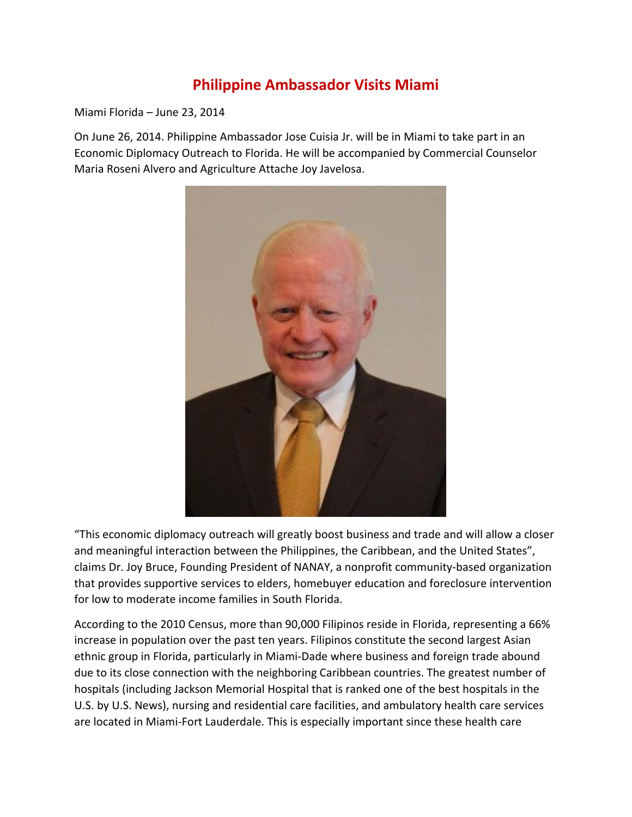## **Philippine Ambassador Visits Miami**

Miami Florida – June 23, 2014

On June 26, 2014. Philippine Ambassador Jose Cuisia Jr. will be in Miami to take part in an Economic Diplomacy Outreach to Florida. He will be accompanied by Commercial Counselor Maria Roseni Alvero and Agriculture Attache Joy Javelosa.



"This economic diplomacy outreach will greatly boost business and trade and will allow a closer and meaningful interaction between the Philippines, the Caribbean, and the United States", claims Dr. Joy Bruce, Founding President of NANAY, a nonprofit community-based organization that provides supportive services to elders, homebuyer education and foreclosure intervention for low to moderate income families in South Florida.

According to the 2010 Census, more than 90,000 Filipinos reside in Florida, representing a 66% increase in population over the past ten years. Filipinos constitute the second largest Asian ethnic group in Florida, particularly in Miami-Dade where business and foreign trade abound due to its close connection with the neighboring Caribbean countries. The greatest number of hospitals (including Jackson Memorial Hospital that is ranked one of the best hospitals in the U.S. by U.S. News), nursing and residential care facilities, and ambulatory health care services are located in Miami-Fort Lauderdale. This is especially important since these health care